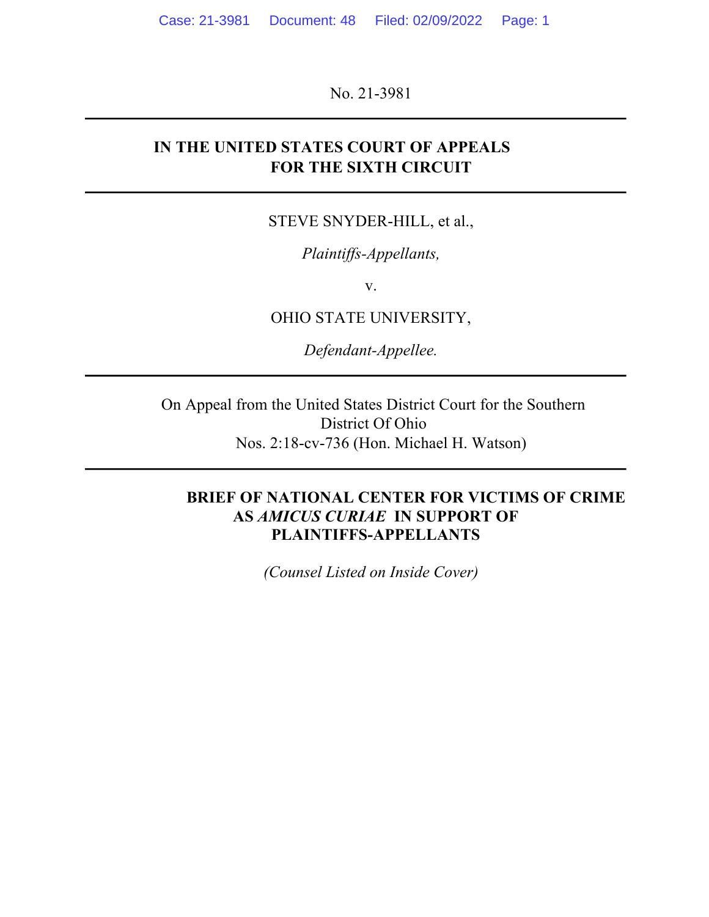No. 21-3981

## **IN THE UNITED STATES COURT OF APPEALS FOR THE SIXTH CIRCUIT**

#### STEVE SNYDER-HILL, et al.,

#### *Plaintiffs-Appellants,*

v.

OHIO STATE UNIVERSITY,

*Defendant-Appellee.*

On Appeal from the United States District Court for the Southern District Of Ohio Nos. 2:18-cv-736 (Hon. Michael H. Watson)

#### **BRIEF OF NATIONAL CENTER FOR VICTIMS OF CRIME AS** *AMICUS CURIAE* **IN SUPPORT OF PLAINTIFFS-APPELLANTS**

*(Counsel Listed on Inside Cover)*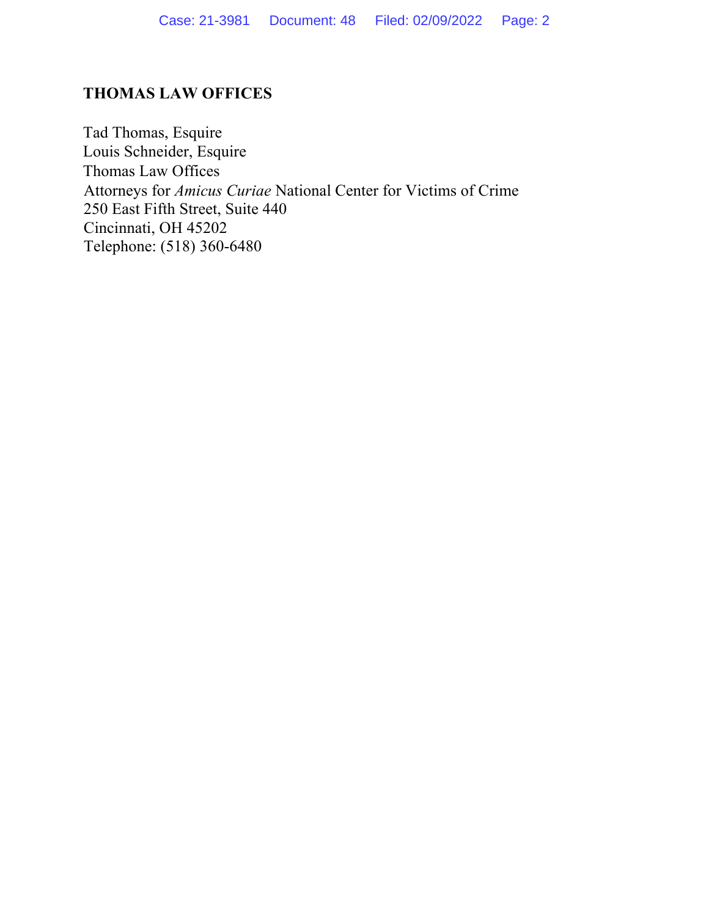## **THOMAS LAW OFFICES**

Tad Thomas, Esquire Louis Schneider, Esquire Thomas Law Offices Attorneys for *Amicus Curiae* National Center for Victims of Crime 250 East Fifth Street, Suite 440 Cincinnati, OH 45202 Telephone: (518) 360-6480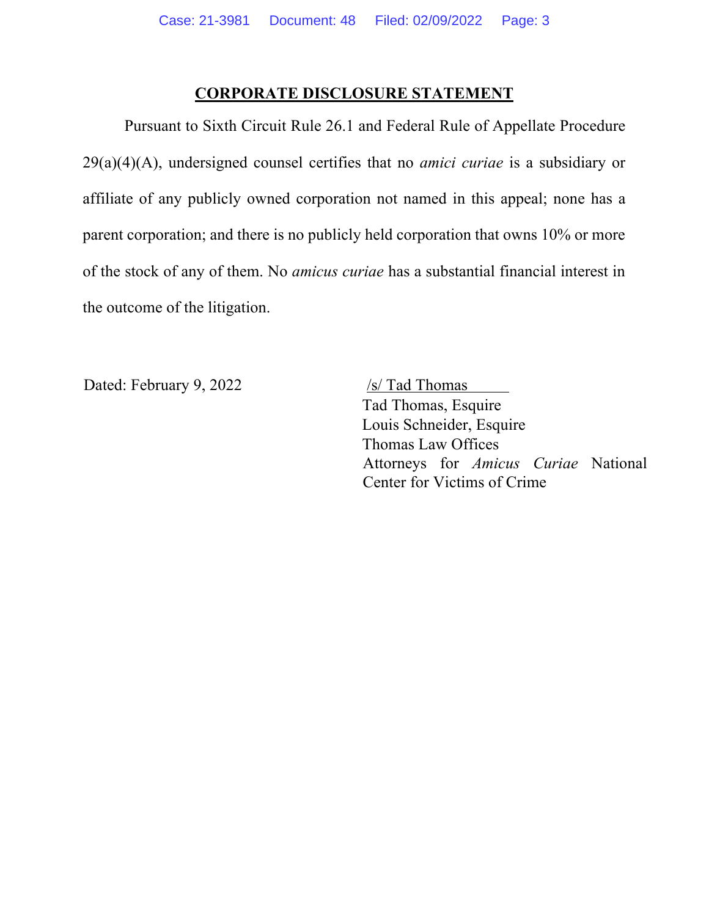#### **CORPORATE DISCLOSURE STATEMENT**

Pursuant to Sixth Circuit Rule 26.1 and Federal Rule of Appellate Procedure 29(a)(4)(A), undersigned counsel certifies that no *amici curiae* is a subsidiary or affiliate of any publicly owned corporation not named in this appeal; none has a parent corporation; and there is no publicly held corporation that owns 10% or more of the stock of any of them. No *amicus curiae* has a substantial financial interest in the outcome of the litigation.

Dated: February 9, 2022 /s/ Tad Thomas

Tad Thomas, Esquire Louis Schneider, Esquire Thomas Law Offices Attorneys for *Amicus Curiae* National Center for Victims of Crime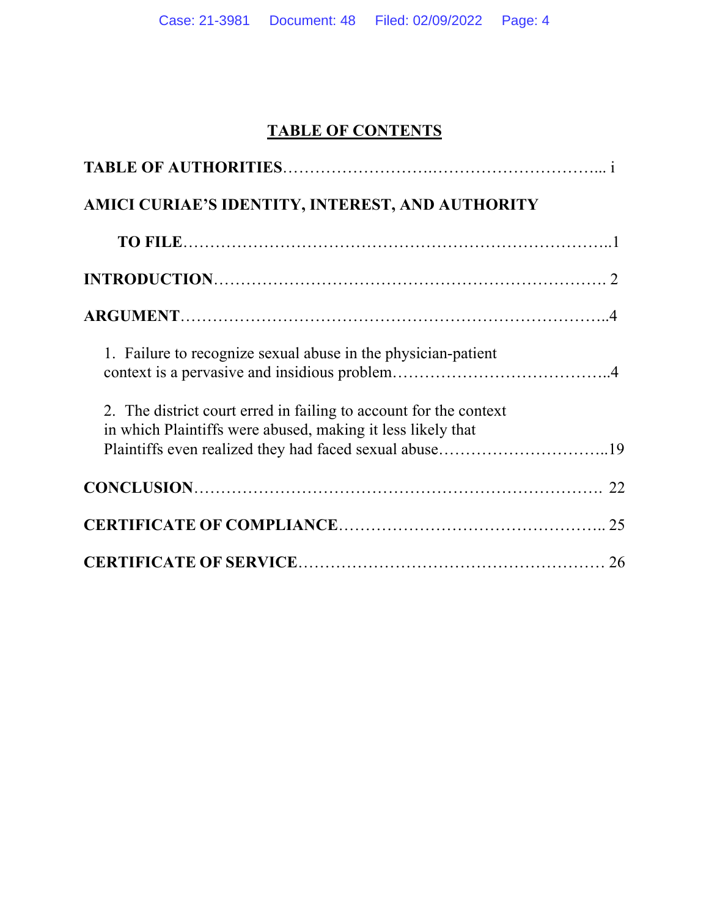# **TABLE OF CONTENTS**

| AMICI CURIAE'S IDENTITY, INTEREST, AND AUTHORITY                                                                                                                                           |  |
|--------------------------------------------------------------------------------------------------------------------------------------------------------------------------------------------|--|
|                                                                                                                                                                                            |  |
|                                                                                                                                                                                            |  |
|                                                                                                                                                                                            |  |
| 1. Failure to recognize sexual abuse in the physician-patient                                                                                                                              |  |
| 2. The district court erred in failing to account for the context<br>in which Plaintiffs were abused, making it less likely that<br>Plaintiffs even realized they had faced sexual abuse19 |  |
|                                                                                                                                                                                            |  |
|                                                                                                                                                                                            |  |
|                                                                                                                                                                                            |  |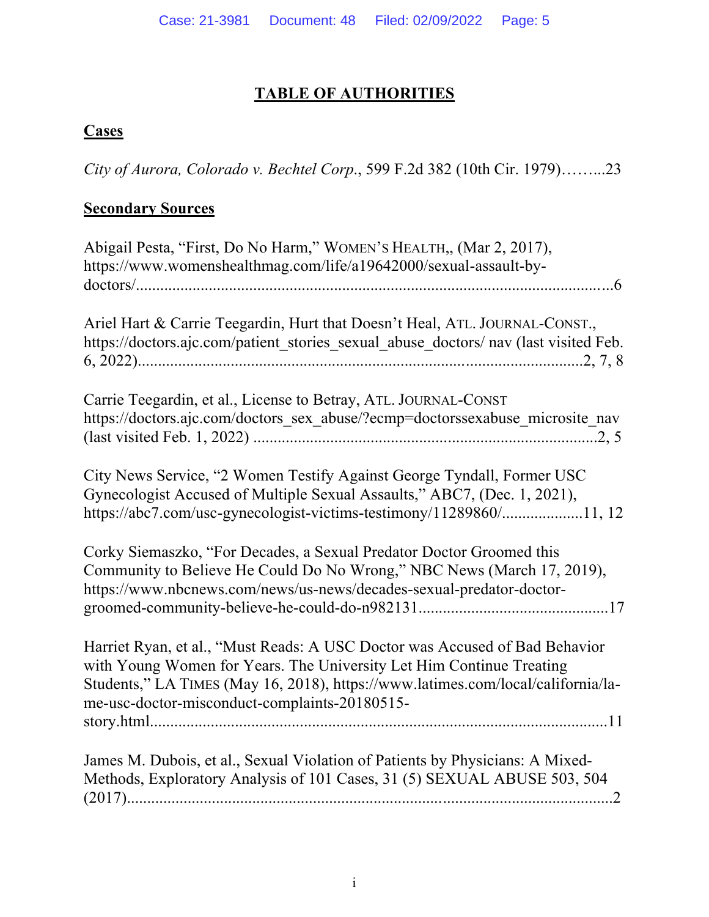# **TABLE OF AUTHORITIES**

# **Cases**

*City of Aurora, Colorado v. Bechtel Corp*., 599 F.2d 382 (10th Cir. 1979)……...23

# **Secondary Sources**

| Abigail Pesta, "First, Do No Harm," WOMEN's HEALTH,, (Mar 2, 2017),<br>https://www.womenshealthmag.com/life/a19642000/sexual-assault-by-                                                                                                                                                 |
|------------------------------------------------------------------------------------------------------------------------------------------------------------------------------------------------------------------------------------------------------------------------------------------|
| Ariel Hart & Carrie Teegardin, Hurt that Doesn't Heal, ATL. JOURNAL-CONST.,<br>https://doctors.ajc.com/patient_stories_sexual_abuse_doctors/ nav (last visited Feb.                                                                                                                      |
| Carrie Teegardin, et al., License to Betray, ATL. JOURNAL-CONST<br>https://doctors.ajc.com/doctors sex abuse/?ecmp=doctorssexabuse microsite nav                                                                                                                                         |
| City News Service, "2 Women Testify Against George Tyndall, Former USC<br>Gynecologist Accused of Multiple Sexual Assaults," ABC7, (Dec. 1, 2021),<br>https://abc7.com/usc-gynecologist-victims-testimony/11289860/11, 12                                                                |
| Corky Siemaszko, "For Decades, a Sexual Predator Doctor Groomed this<br>Community to Believe He Could Do No Wrong," NBC News (March 17, 2019),<br>https://www.nbcnews.com/news/us-news/decades-sexual-predator-doctor-                                                                   |
| Harriet Ryan, et al., "Must Reads: A USC Doctor was Accused of Bad Behavior<br>with Young Women for Years. The University Let Him Continue Treating<br>Students," LA TIMES (May 16, 2018), https://www.latimes.com/local/california/la-<br>me-usc-doctor-misconduct-complaints-20180515- |
| James M. Dubois, et al., Sexual Violation of Patients by Physicians: A Mixed-<br>Methods, Exploratory Analysis of 101 Cases, 31 (5) SEXUAL ABUSE 503, 504                                                                                                                                |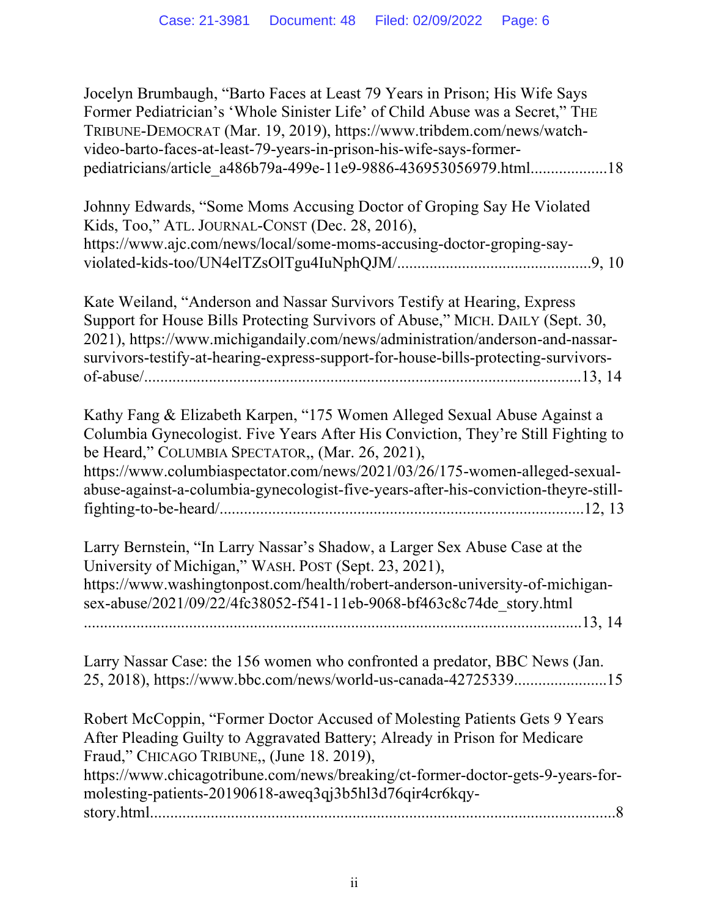Jocelyn Brumbaugh, "Barto Faces at Least 79 Years in Prison; His Wife Says Former Pediatrician's 'Whole Sinister Life' of Child Abuse was a Secret," THE TRIBUNE-DEMOCRAT (Mar. 19, 2019), https://www.tribdem.com/news/watchvideo-barto-faces-at-least-79-years-in-prison-his-wife-says-formerpediatricians/article\_a486b79a-499e-11e9-9886-436953056979.html...................18

| Johnny Edwards, "Some Moms Accusing Doctor of Groping Say He Violated |  |
|-----------------------------------------------------------------------|--|
| Kids, Too," ATL. JOURNAL-CONST (Dec. 28, 2016),                       |  |
| https://www.ajc.com/news/local/some-moms-accusing-doctor-groping-say- |  |
|                                                                       |  |

Kate Weiland, "Anderson and Nassar Survivors Testify at Hearing, Express Support for House Bills Protecting Survivors of Abuse," MICH. DAILY (Sept. 30, 2021), https://www.michigandaily.com/news/administration/anderson-and-nassarsurvivors-testify-at-hearing-express-support-for-house-bills-protecting-survivorsof-abuse/............................................................................................................13, 14

Kathy Fang & Elizabeth Karpen, "175 Women Alleged Sexual Abuse Against a Columbia Gynecologist. Five Years After His Conviction, They're Still Fighting to be Heard," COLUMBIA SPECTATOR,, (Mar. 26, 2021), https://www.columbiaspectator.com/news/2021/03/26/175-women-alleged-sexualabuse-against-a-columbia-gynecologist-five-years-after-his-conviction-theyre-stillfighting-to-be-heard/..........................................................................................12, 13

Larry Bernstein, "In Larry Nassar's Shadow, a Larger Sex Abuse Case at the University of Michigan," WASH. POST (Sept. 23, 2021), https://www.washingtonpost.com/health/robert-anderson-university-of-michigansex-abuse/2021/09/22/4fc38052-f541-11eb-9068-bf463c8c74de\_story.html ...........................................................................................................................13, 14

Larry Nassar Case: the 156 women who confronted a predator, BBC News (Jan. 25, 2018), https://www.bbc.com/news/world-us-canada-42725339.......................15

Robert McCoppin, "Former Doctor Accused of Molesting Patients Gets 9 Years After Pleading Guilty to Aggravated Battery; Already in Prison for Medicare Fraud," CHICAGO TRIBUNE,, (June 18. 2019), https://www.chicagotribune.com/news/breaking/ct-former-doctor-gets-9-years-formolesting-patients-20190618-aweq3qj3b5hl3d76qir4cr6kqystory.html...................................................................................................................8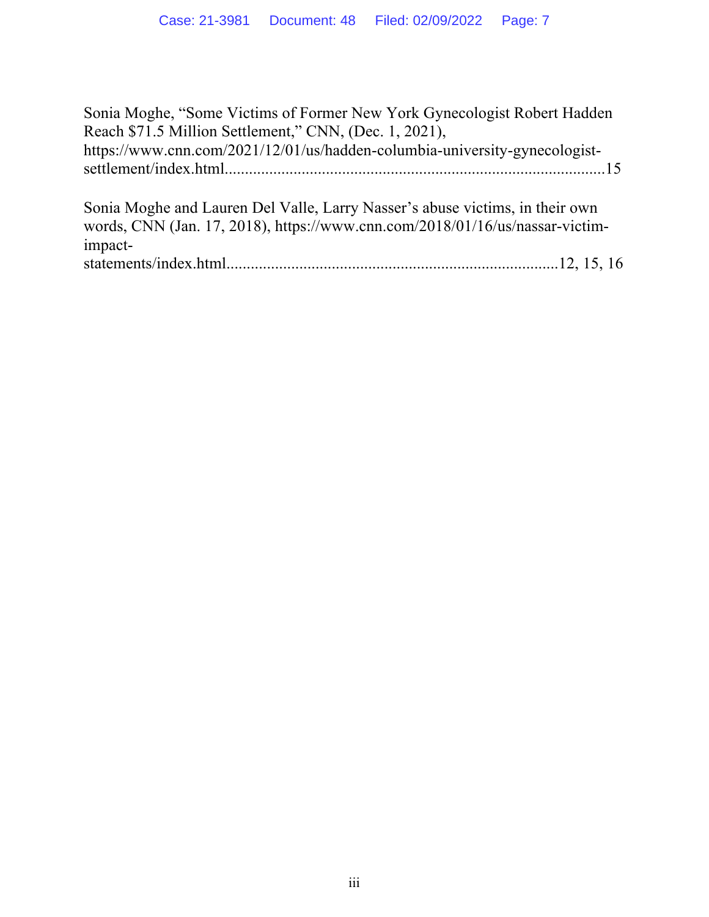Sonia Moghe, "Some Victims of Former New York Gynecologist Robert Hadden Reach \$71.5 Million Settlement," CNN, (Dec. 1, 2021), https://www.cnn.com/2021/12/01/us/hadden-columbia-university-gynecologistsettlement/index.html..............................................................................................15

Sonia Moghe and Lauren Del Valle, Larry Nasser's abuse victims, in their own words, CNN (Jan. 17, 2018), https://www.cnn.com/2018/01/16/us/nassar-victimimpactstatements/index.html..................................................................................12, 15, 16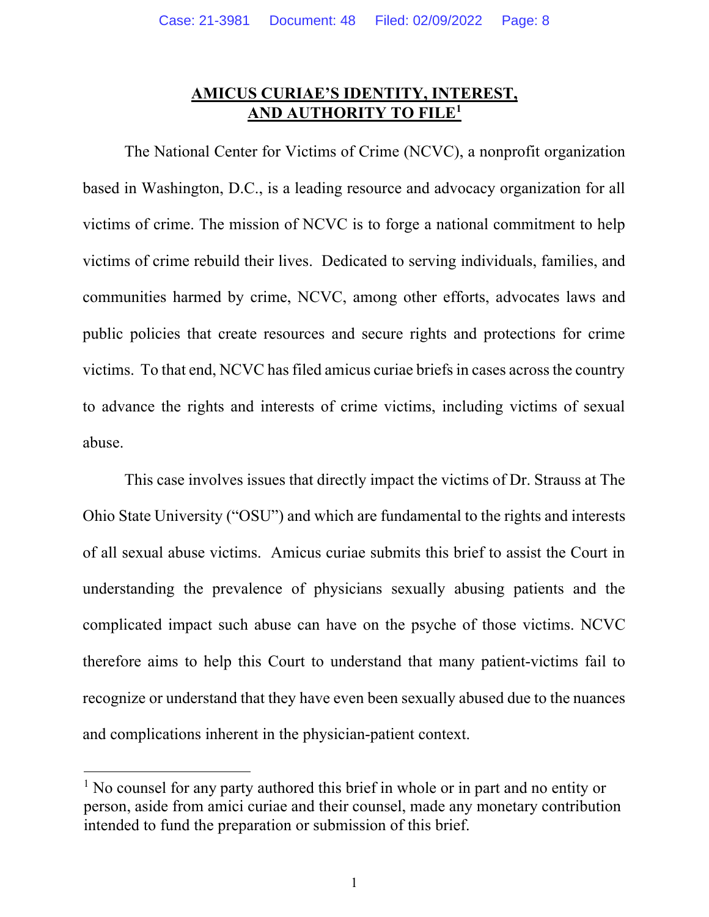## **AMICUS CURIAE'S IDENTITY, INTEREST, AND AUTHORITY TO FILE1**

The National Center for Victims of Crime (NCVC), a nonprofit organization based in Washington, D.C., is a leading resource and advocacy organization for all victims of crime. The mission of NCVC is to forge a national commitment to help victims of crime rebuild their lives. Dedicated to serving individuals, families, and communities harmed by crime, NCVC, among other efforts, advocates laws and public policies that create resources and secure rights and protections for crime victims. To that end, NCVC has filed amicus curiae briefs in cases across the country to advance the rights and interests of crime victims, including victims of sexual abuse.

This case involves issues that directly impact the victims of Dr. Strauss at The Ohio State University ("OSU") and which are fundamental to the rights and interests of all sexual abuse victims. Amicus curiae submits this brief to assist the Court in understanding the prevalence of physicians sexually abusing patients and the complicated impact such abuse can have on the psyche of those victims. NCVC therefore aims to help this Court to understand that many patient-victims fail to recognize or understand that they have even been sexually abused due to the nuances and complications inherent in the physician-patient context.

<sup>&</sup>lt;sup>1</sup> No counsel for any party authored this brief in whole or in part and no entity or person, aside from amici curiae and their counsel, made any monetary contribution intended to fund the preparation or submission of this brief.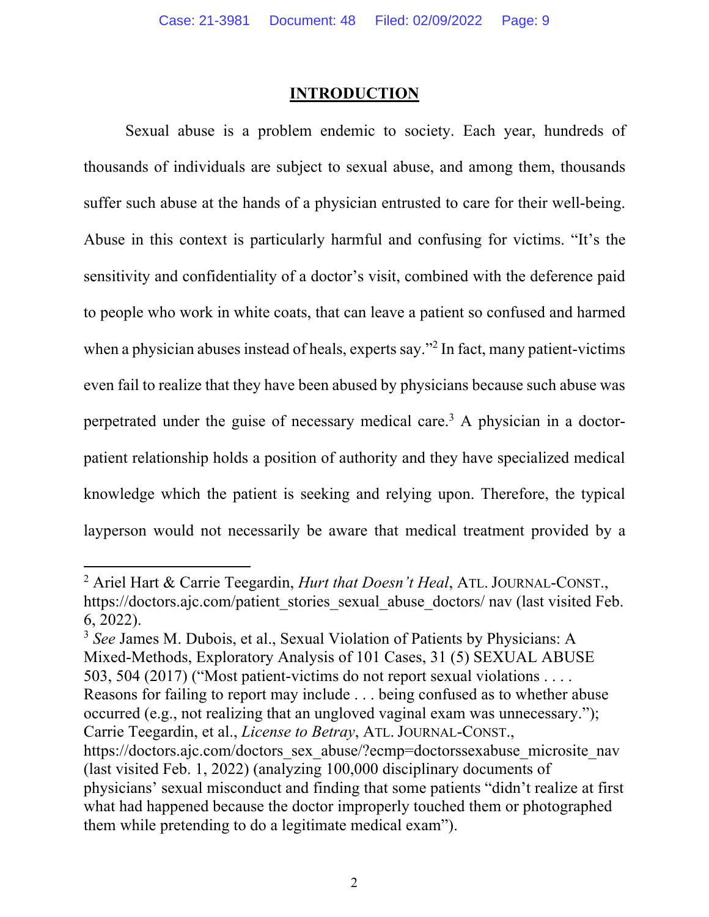#### **INTRODUCTION**

Sexual abuse is a problem endemic to society. Each year, hundreds of thousands of individuals are subject to sexual abuse, and among them, thousands suffer such abuse at the hands of a physician entrusted to care for their well-being. Abuse in this context is particularly harmful and confusing for victims. "It's the sensitivity and confidentiality of a doctor's visit, combined with the deference paid to people who work in white coats, that can leave a patient so confused and harmed when a physician abuses instead of heals, experts say."<sup>2</sup> In fact, many patient-victims even fail to realize that they have been abused by physicians because such abuse was perpetrated under the guise of necessary medical care.3 A physician in a doctorpatient relationship holds a position of authority and they have specialized medical knowledge which the patient is seeking and relying upon. Therefore, the typical layperson would not necessarily be aware that medical treatment provided by a

<sup>2</sup> Ariel Hart & Carrie Teegardin, *Hurt that Doesn't Heal*, ATL. JOURNAL-CONST., https://doctors.ajc.com/patient\_stories\_sexual\_abuse\_doctors/ nav (last visited Feb. 6, 2022).

<sup>3</sup> *See* James M. Dubois, et al., Sexual Violation of Patients by Physicians: A Mixed-Methods, Exploratory Analysis of 101 Cases, 31 (5) SEXUAL ABUSE 503, 504 (2017) ("Most patient-victims do not report sexual violations . . . . Reasons for failing to report may include . . . being confused as to whether abuse occurred (e.g., not realizing that an ungloved vaginal exam was unnecessary."); Carrie Teegardin, et al., *License to Betray*, ATL. JOURNAL-CONST., https://doctors.ajc.com/doctors\_sex\_abuse/?ecmp=doctorssexabuse\_microsite\_nav

<sup>(</sup>last visited Feb. 1, 2022) (analyzing 100,000 disciplinary documents of physicians' sexual misconduct and finding that some patients "didn't realize at first what had happened because the doctor improperly touched them or photographed them while pretending to do a legitimate medical exam").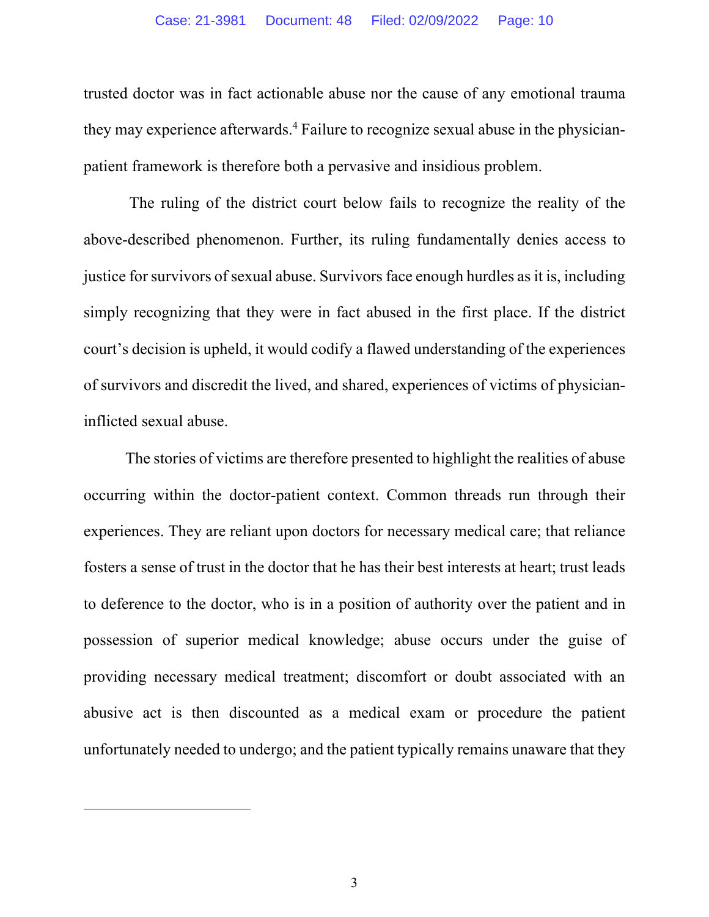trusted doctor was in fact actionable abuse nor the cause of any emotional trauma they may experience afterwards.<sup>4</sup> Failure to recognize sexual abuse in the physicianpatient framework is therefore both a pervasive and insidious problem.

The ruling of the district court below fails to recognize the reality of the above-described phenomenon. Further, its ruling fundamentally denies access to justice for survivors of sexual abuse. Survivors face enough hurdles as it is, including simply recognizing that they were in fact abused in the first place. If the district court's decision is upheld, it would codify a flawed understanding of the experiences of survivors and discredit the lived, and shared, experiences of victims of physicianinflicted sexual abuse.

The stories of victims are therefore presented to highlight the realities of abuse occurring within the doctor-patient context. Common threads run through their experiences. They are reliant upon doctors for necessary medical care; that reliance fosters a sense of trust in the doctor that he has their best interests at heart; trust leads to deference to the doctor, who is in a position of authority over the patient and in possession of superior medical knowledge; abuse occurs under the guise of providing necessary medical treatment; discomfort or doubt associated with an abusive act is then discounted as a medical exam or procedure the patient unfortunately needed to undergo; and the patient typically remains unaware that they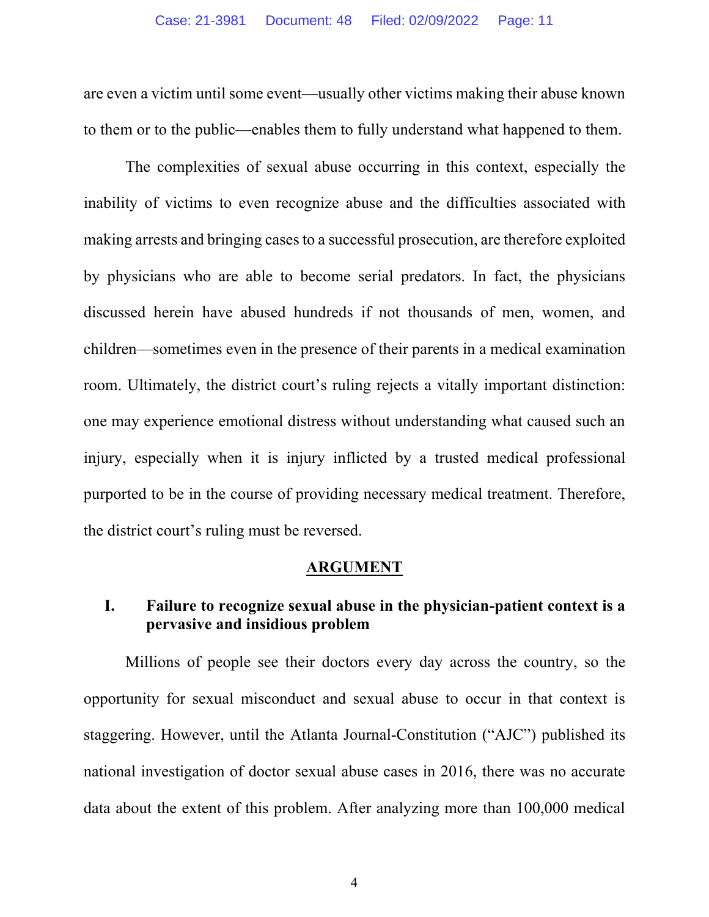are even a victim until some event—usually other victims making their abuse known to them or to the public—enables them to fully understand what happened to them.

The complexities of sexual abuse occurring in this context, especially the inability of victims to even recognize abuse and the difficulties associated with making arrests and bringing cases to a successful prosecution, are therefore exploited by physicians who are able to become serial predators. In fact, the physicians discussed herein have abused hundreds if not thousands of men, women, and children—sometimes even in the presence of their parents in a medical examination room. Ultimately, the district court's ruling rejects a vitally important distinction: one may experience emotional distress without understanding what caused such an injury, especially when it is injury inflicted by a trusted medical professional purported to be in the course of providing necessary medical treatment. Therefore, the district court's ruling must be reversed.

#### **ARGUMENT**

#### **I. Failure to recognize sexual abuse in the physician-patient context is a pervasive and insidious problem**

Millions of people see their doctors every day across the country, so the opportunity for sexual misconduct and sexual abuse to occur in that context is staggering. However, until the Atlanta Journal-Constitution ("AJC") published its national investigation of doctor sexual abuse cases in 2016, there was no accurate data about the extent of this problem. After analyzing more than 100,000 medical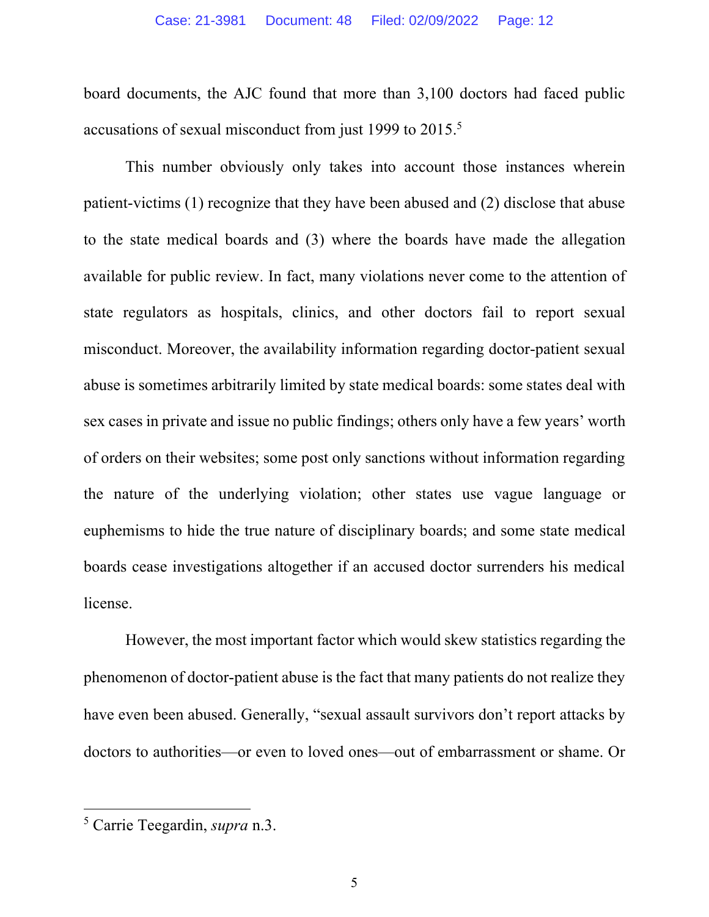board documents, the AJC found that more than 3,100 doctors had faced public accusations of sexual misconduct from just 1999 to 2015.5

This number obviously only takes into account those instances wherein patient-victims (1) recognize that they have been abused and (2) disclose that abuse to the state medical boards and (3) where the boards have made the allegation available for public review. In fact, many violations never come to the attention of state regulators as hospitals, clinics, and other doctors fail to report sexual misconduct. Moreover, the availability information regarding doctor-patient sexual abuse is sometimes arbitrarily limited by state medical boards: some states deal with sex cases in private and issue no public findings; others only have a few years' worth of orders on their websites; some post only sanctions without information regarding the nature of the underlying violation; other states use vague language or euphemisms to hide the true nature of disciplinary boards; and some state medical boards cease investigations altogether if an accused doctor surrenders his medical license.

However, the most important factor which would skew statistics regarding the phenomenon of doctor-patient abuse is the fact that many patients do not realize they have even been abused. Generally, "sexual assault survivors don't report attacks by doctors to authorities—or even to loved ones—out of embarrassment or shame. Or

<sup>5</sup> Carrie Teegardin, *supra* n.3.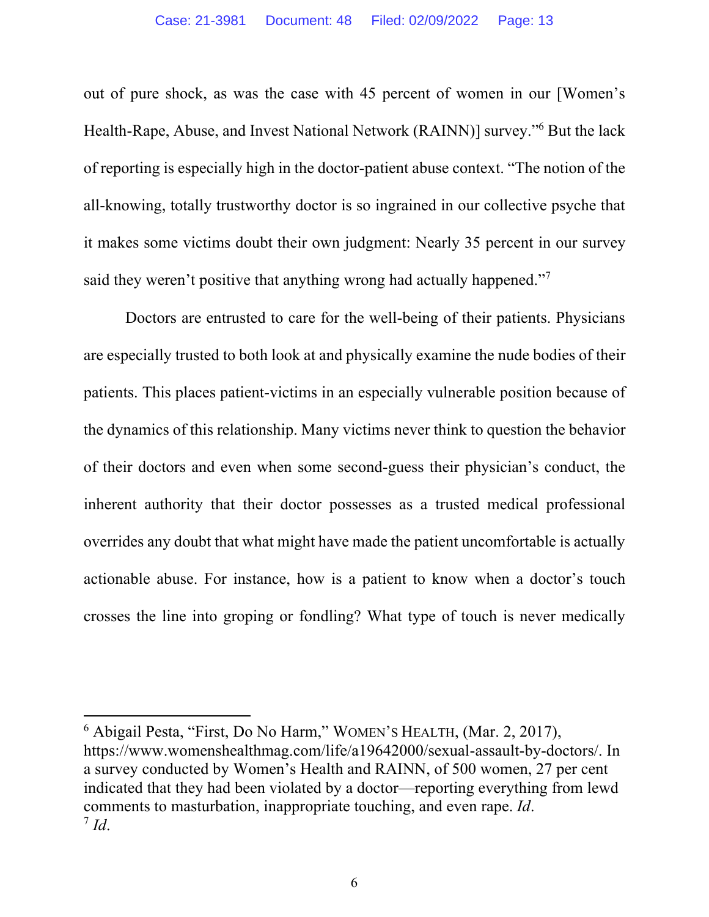out of pure shock, as was the case with 45 percent of women in our [Women's Health-Rape, Abuse, and Invest National Network (RAINN)] survey."6 But the lack of reporting is especially high in the doctor-patient abuse context. "The notion of the all-knowing, totally trustworthy doctor is so ingrained in our collective psyche that it makes some victims doubt their own judgment: Nearly 35 percent in our survey said they weren't positive that anything wrong had actually happened."<sup>7</sup>

Doctors are entrusted to care for the well-being of their patients. Physicians are especially trusted to both look at and physically examine the nude bodies of their patients. This places patient-victims in an especially vulnerable position because of the dynamics of this relationship. Many victims never think to question the behavior of their doctors and even when some second-guess their physician's conduct, the inherent authority that their doctor possesses as a trusted medical professional overrides any doubt that what might have made the patient uncomfortable is actually actionable abuse. For instance, how is a patient to know when a doctor's touch crosses the line into groping or fondling? What type of touch is never medically

<sup>6</sup> Abigail Pesta, "First, Do No Harm," WOMEN'S HEALTH, (Mar. 2, 2017), https://www.womenshealthmag.com/life/a19642000/sexual-assault-by-doctors/. In a survey conducted by Women's Health and RAINN, of 500 women, 27 per cent indicated that they had been violated by a doctor—reporting everything from lewd comments to masturbation, inappropriate touching, and even rape. *Id*.  $^7$  *Id.*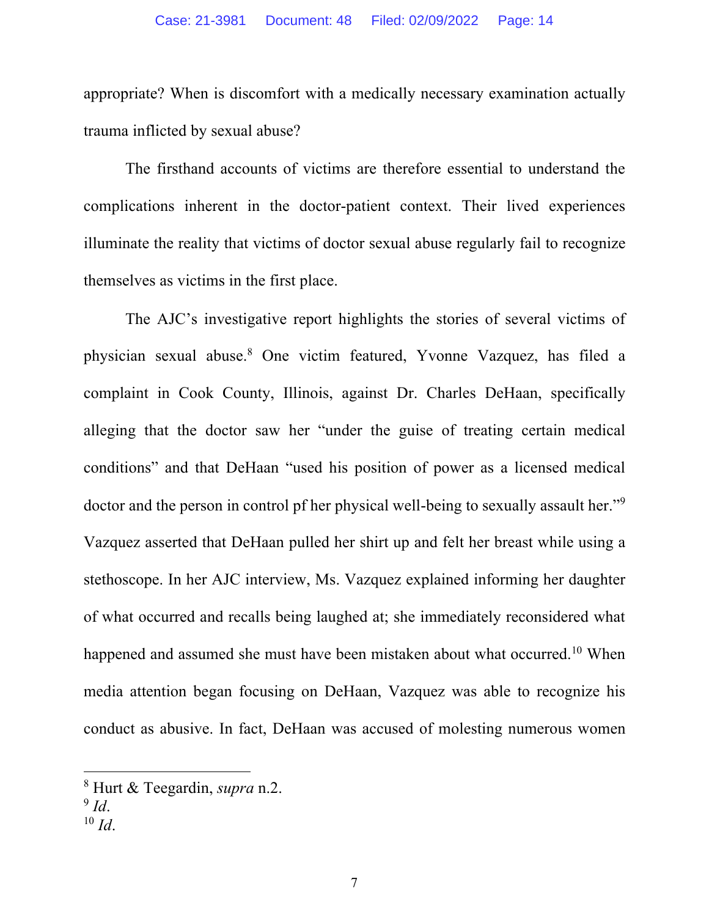appropriate? When is discomfort with a medically necessary examination actually trauma inflicted by sexual abuse?

The firsthand accounts of victims are therefore essential to understand the complications inherent in the doctor-patient context. Their lived experiences illuminate the reality that victims of doctor sexual abuse regularly fail to recognize themselves as victims in the first place.

The AJC's investigative report highlights the stories of several victims of physician sexual abuse.8 One victim featured, Yvonne Vazquez, has filed a complaint in Cook County, Illinois, against Dr. Charles DeHaan, specifically alleging that the doctor saw her "under the guise of treating certain medical conditions" and that DeHaan "used his position of power as a licensed medical doctor and the person in control pf her physical well-being to sexually assault her."<sup>9</sup> Vazquez asserted that DeHaan pulled her shirt up and felt her breast while using a stethoscope. In her AJC interview, Ms. Vazquez explained informing her daughter of what occurred and recalls being laughed at; she immediately reconsidered what happened and assumed she must have been mistaken about what occurred.<sup>10</sup> When media attention began focusing on DeHaan, Vazquez was able to recognize his conduct as abusive. In fact, DeHaan was accused of molesting numerous women

<sup>8</sup> Hurt & Teegardin, *supra* n.2.

 $9$  *Id.* 

 $10 \, Id.$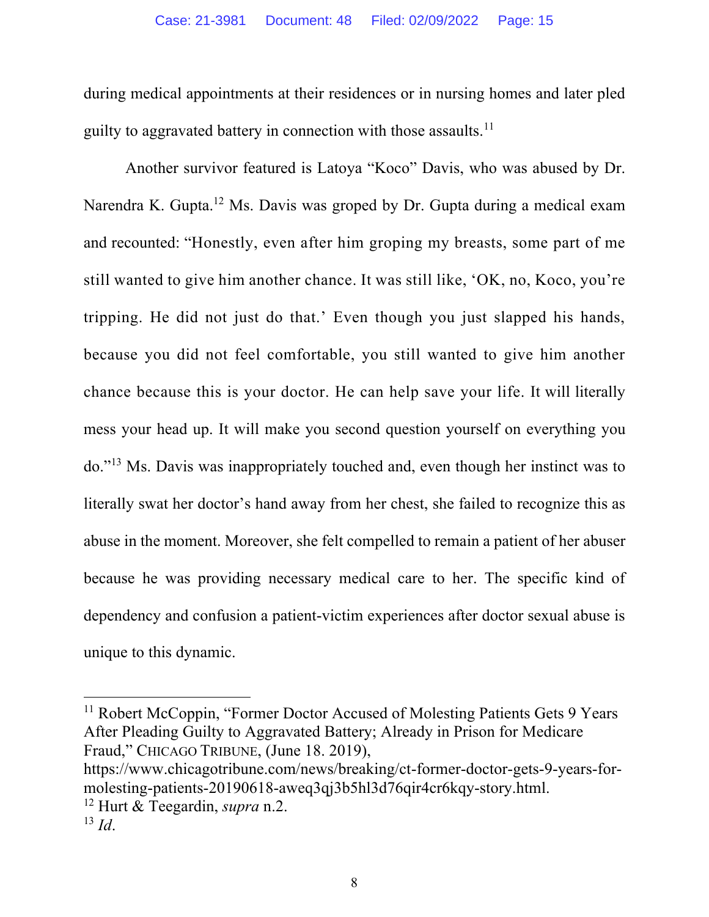during medical appointments at their residences or in nursing homes and later pled guilty to aggravated battery in connection with those assaults.11

Another survivor featured is Latoya "Koco" Davis, who was abused by Dr. Narendra K. Gupta.<sup>12</sup> Ms. Davis was groped by Dr. Gupta during a medical exam and recounted: "Honestly, even after him groping my breasts, some part of me still wanted to give him another chance. It was still like, 'OK, no, Koco, you're tripping. He did not just do that.' Even though you just slapped his hands, because you did not feel comfortable, you still wanted to give him another chance because this is your doctor. He can help save your life. It will literally mess your head up. It will make you second question yourself on everything you do."13 Ms. Davis was inappropriately touched and, even though her instinct was to literally swat her doctor's hand away from her chest, she failed to recognize this as abuse in the moment. Moreover, she felt compelled to remain a patient of her abuser because he was providing necessary medical care to her. The specific kind of dependency and confusion a patient-victim experiences after doctor sexual abuse is unique to this dynamic.

https://www.chicagotribune.com/news/breaking/ct-former-doctor-gets-9-years-formolesting-patients-20190618-aweq3qj3b5hl3d76qir4cr6kqy-story.html.

<sup>&</sup>lt;sup>11</sup> Robert McCoppin, "Former Doctor Accused of Molesting Patients Gets 9 Years After Pleading Guilty to Aggravated Battery; Already in Prison for Medicare Fraud," CHICAGO TRIBUNE, (June 18. 2019),

<sup>12</sup> Hurt & Teegardin, *supra* n.2.

 $^{13}$  *Id.*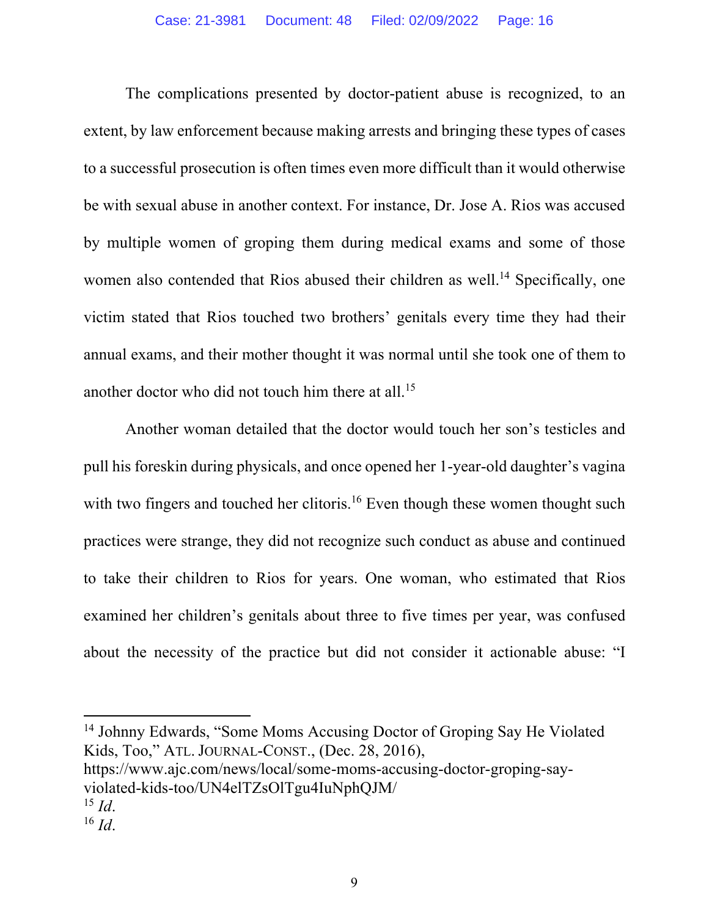The complications presented by doctor-patient abuse is recognized, to an extent, by law enforcement because making arrests and bringing these types of cases to a successful prosecution is often times even more difficult than it would otherwise be with sexual abuse in another context. For instance, Dr. Jose A. Rios was accused by multiple women of groping them during medical exams and some of those women also contended that Rios abused their children as well.<sup>14</sup> Specifically, one victim stated that Rios touched two brothers' genitals every time they had their annual exams, and their mother thought it was normal until she took one of them to another doctor who did not touch him there at all.15

Another woman detailed that the doctor would touch her son's testicles and pull his foreskin during physicals, and once opened her 1-year-old daughter's vagina with two fingers and touched her clitoris.<sup>16</sup> Even though these women thought such practices were strange, they did not recognize such conduct as abuse and continued to take their children to Rios for years. One woman, who estimated that Rios examined her children's genitals about three to five times per year, was confused about the necessity of the practice but did not consider it actionable abuse: "I

<sup>14</sup> Johnny Edwards, "Some Moms Accusing Doctor of Groping Say He Violated Kids, Too," ATL. JOURNAL-CONST., (Dec. 28, 2016),

https://www.ajc.com/news/local/some-moms-accusing-doctor-groping-sayviolated-kids-too/UN4elTZsOlTgu4IuNphQJM/

 $^{15}$  *Id.* 

 $^{16}$  *Id*.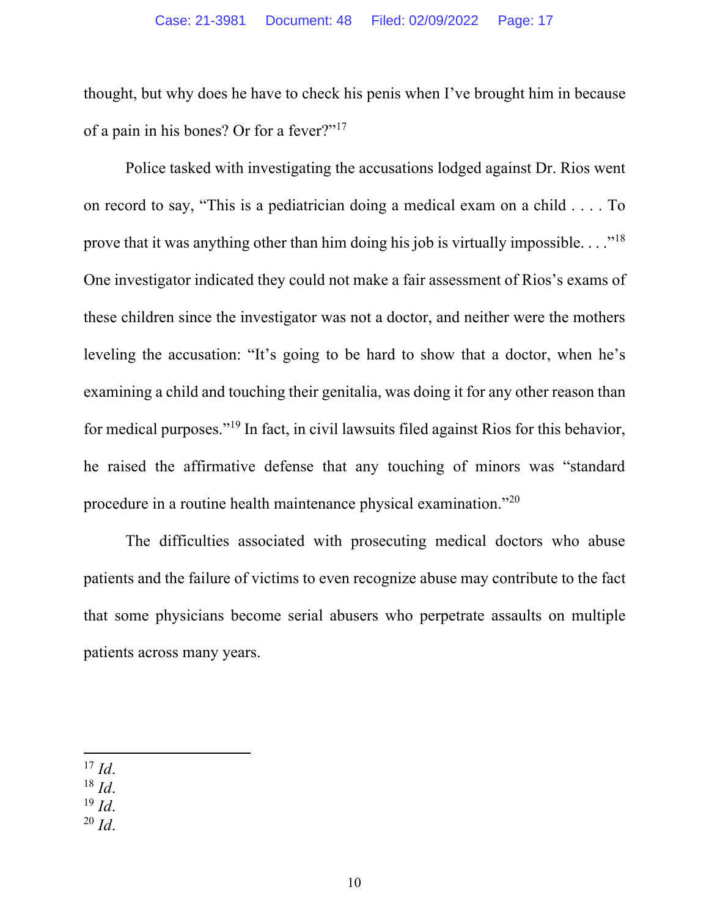thought, but why does he have to check his penis when I've brought him in because of a pain in his bones? Or for a fever?"17

Police tasked with investigating the accusations lodged against Dr. Rios went on record to say, "This is a pediatrician doing a medical exam on a child . . . . To prove that it was anything other than him doing his job is virtually impossible.  $\ldots$ <sup>18</sup> One investigator indicated they could not make a fair assessment of Rios's exams of these children since the investigator was not a doctor, and neither were the mothers leveling the accusation: "It's going to be hard to show that a doctor, when he's examining a child and touching their genitalia, was doing it for any other reason than for medical purposes."19 In fact, in civil lawsuits filed against Rios for this behavior, he raised the affirmative defense that any touching of minors was "standard procedure in a routine health maintenance physical examination."20

The difficulties associated with prosecuting medical doctors who abuse patients and the failure of victims to even recognize abuse may contribute to the fact that some physicians become serial abusers who perpetrate assaults on multiple patients across many years.

 $^{17}$  *Id.* 

<sup>18</sup> *Id*.

 $^{19}$  *Id.* 

 $^{20}$  *Id.*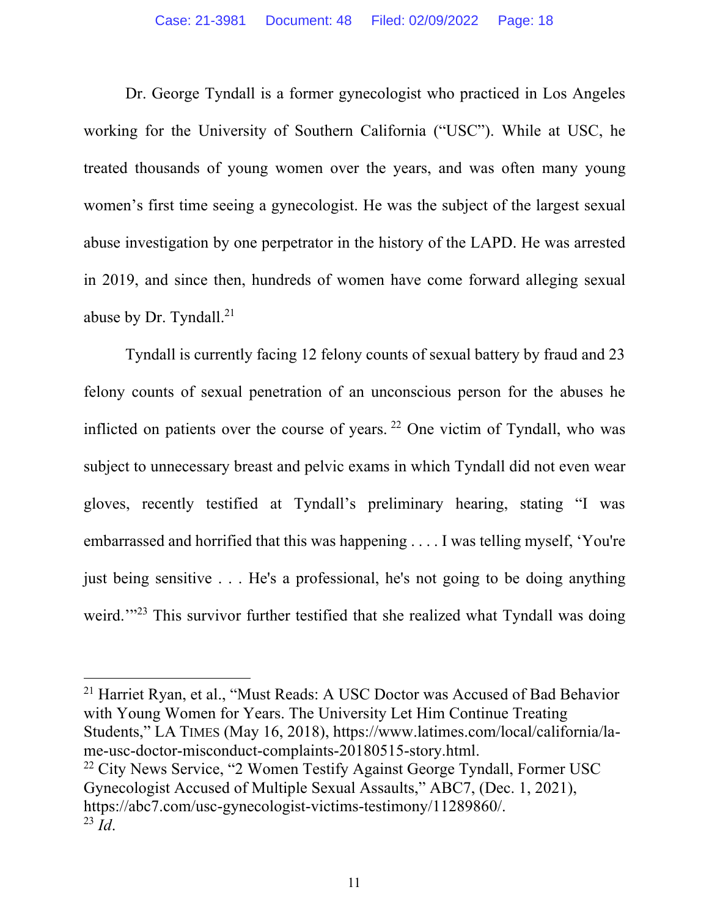Dr. George Tyndall is a former gynecologist who practiced in Los Angeles working for the University of Southern California ("USC"). While at USC, he treated thousands of young women over the years, and was often many young women's first time seeing a gynecologist. He was the subject of the largest sexual abuse investigation by one perpetrator in the history of the LAPD. He was arrested in 2019, and since then, hundreds of women have come forward alleging sexual abuse by Dr. Tyndall.<sup>21</sup>

Tyndall is currently facing 12 felony counts of sexual battery by fraud and 23 felony counts of sexual penetration of an unconscious person for the abuses he inflicted on patients over the course of years.  $22$  One victim of Tyndall, who was subject to unnecessary breast and pelvic exams in which Tyndall did not even wear gloves, recently testified at Tyndall's preliminary hearing, stating "I was embarrassed and horrified that this was happening . . . . I was telling myself, 'You're just being sensitive . . . He's a professional, he's not going to be doing anything weird."<sup>23</sup> This survivor further testified that she realized what Tyndall was doing

<sup>21</sup> Harriet Ryan, et al., "Must Reads: A USC Doctor was Accused of Bad Behavior with Young Women for Years. The University Let Him Continue Treating Students," LA TIMES (May 16, 2018), https://www.latimes.com/local/california/lame-usc-doctor-misconduct-complaints-20180515-story.html.  $22$  City News Service, "2 Women Testify Against George Tyndall, Former USC Gynecologist Accused of Multiple Sexual Assaults," ABC7, (Dec. 1, 2021), https://abc7.com/usc-gynecologist-victims-testimony/11289860/. <sup>23</sup> *Id*.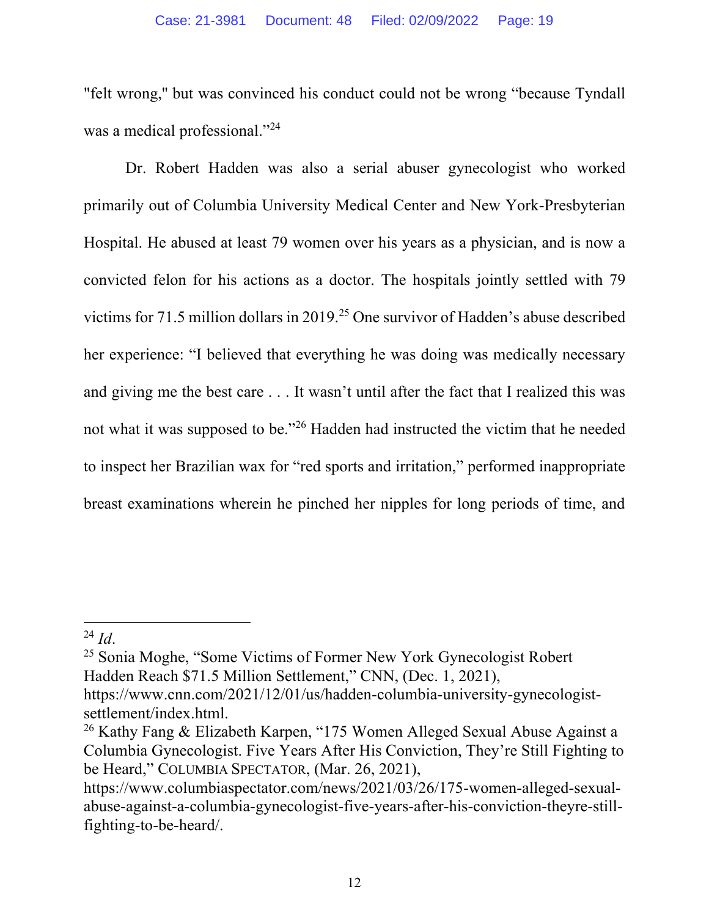"felt wrong,'' but was convinced his conduct could not be wrong "because Tyndall was a medical professional."<sup>24</sup>

Dr. Robert Hadden was also a serial abuser gynecologist who worked primarily out of Columbia University Medical Center and New York-Presbyterian Hospital. He abused at least 79 women over his years as a physician, and is now a convicted felon for his actions as a doctor. The hospitals jointly settled with 79 victims for 71.5 million dollars in 2019.25 One survivor of Hadden's abuse described her experience: "I believed that everything he was doing was medically necessary and giving me the best care . . . It wasn't until after the fact that I realized this was not what it was supposed to be."26 Hadden had instructed the victim that he needed to inspect her Brazilian wax for "red sports and irritation," performed inappropriate breast examinations wherein he pinched her nipples for long periods of time, and

<sup>25</sup> Sonia Moghe, "Some Victims of Former New York Gynecologist Robert Hadden Reach \$71.5 Million Settlement," CNN, (Dec. 1, 2021),

 $^{24}$  *Id*.

https://www.cnn.com/2021/12/01/us/hadden-columbia-university-gynecologistsettlement/index.html.

<sup>26</sup> Kathy Fang & Elizabeth Karpen, "175 Women Alleged Sexual Abuse Against a Columbia Gynecologist. Five Years After His Conviction, They're Still Fighting to be Heard," COLUMBIA SPECTATOR, (Mar. 26, 2021),

https://www.columbiaspectator.com/news/2021/03/26/175-women-alleged-sexualabuse-against-a-columbia-gynecologist-five-years-after-his-conviction-theyre-stillfighting-to-be-heard/.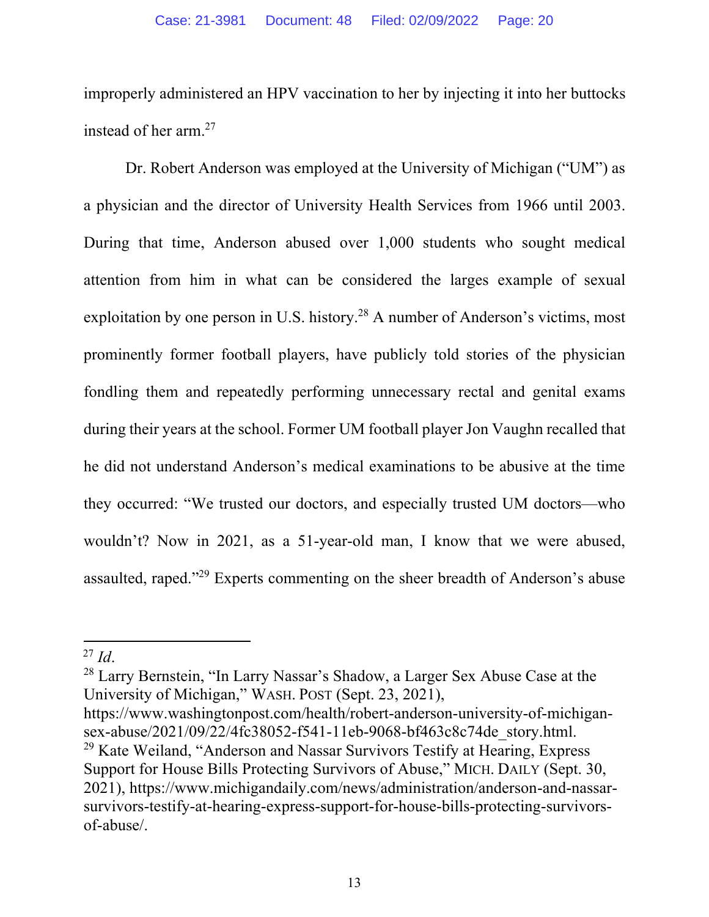improperly administered an HPV vaccination to her by injecting it into her buttocks instead of her arm.27

Dr. Robert Anderson was employed at the University of Michigan ("UM") as a physician and the director of University Health Services from 1966 until 2003. During that time, Anderson abused over 1,000 students who sought medical attention from him in what can be considered the larges example of sexual exploitation by one person in U.S. history.<sup>28</sup> A number of Anderson's victims, most prominently former football players, have publicly told stories of the physician fondling them and repeatedly performing unnecessary rectal and genital exams during their years at the school. Former UM football player Jon Vaughn recalled that he did not understand Anderson's medical examinations to be abusive at the time they occurred: "We trusted our doctors, and especially trusted UM doctors—who wouldn't? Now in 2021, as a 51-year-old man, I know that we were abused, assaulted, raped."29 Experts commenting on the sheer breadth of Anderson's abuse

<sup>28</sup> Larry Bernstein, "In Larry Nassar's Shadow, a Larger Sex Abuse Case at the University of Michigan," WASH. POST (Sept. 23, 2021),

https://www.washingtonpost.com/health/robert-anderson-university-of-michigansex-abuse/2021/09/22/4fc38052-f541-11eb-9068-bf463c8c74de\_story.html.  $29$  Kate Weiland, "Anderson and Nassar Survivors Testify at Hearing, Express Support for House Bills Protecting Survivors of Abuse," MICH. DAILY (Sept. 30, 2021), https://www.michigandaily.com/news/administration/anderson-and-nassarsurvivors-testify-at-hearing-express-support-for-house-bills-protecting-survivorsof-abuse/.

 $^{27}$  *Id.*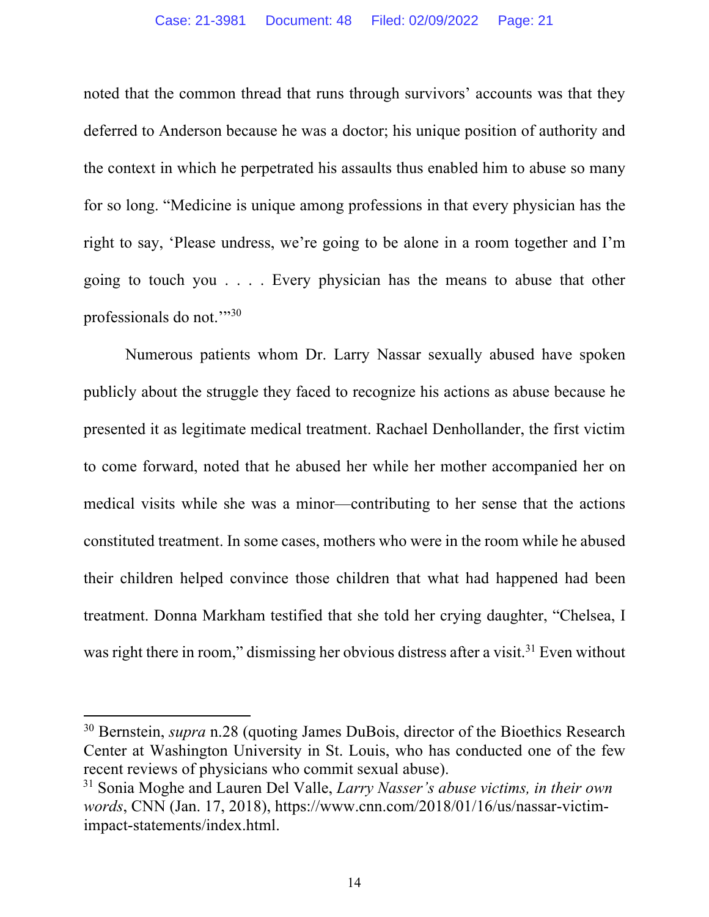noted that the common thread that runs through survivors' accounts was that they deferred to Anderson because he was a doctor; his unique position of authority and the context in which he perpetrated his assaults thus enabled him to abuse so many for so long. "Medicine is unique among professions in that every physician has the right to say, 'Please undress, we're going to be alone in a room together and I'm going to touch you . . . . Every physician has the means to abuse that other professionals do not."30

Numerous patients whom Dr. Larry Nassar sexually abused have spoken publicly about the struggle they faced to recognize his actions as abuse because he presented it as legitimate medical treatment. Rachael Denhollander, the first victim to come forward, noted that he abused her while her mother accompanied her on medical visits while she was a minor—contributing to her sense that the actions constituted treatment. In some cases, mothers who were in the room while he abused their children helped convince those children that what had happened had been treatment. Donna Markham testified that she told her crying daughter, "Chelsea, I was right there in room," dismissing her obvious distress after a visit.<sup>31</sup> Even without

<sup>30</sup> Bernstein, *supra* n.28 (quoting James DuBois, director of the Bioethics Research Center at Washington University in St. Louis, who has conducted one of the few recent reviews of physicians who commit sexual abuse).

<sup>31</sup> Sonia Moghe and Lauren Del Valle, *Larry Nasser's abuse victims, in their own words*, CNN (Jan. 17, 2018), https://www.cnn.com/2018/01/16/us/nassar-victimimpact-statements/index.html.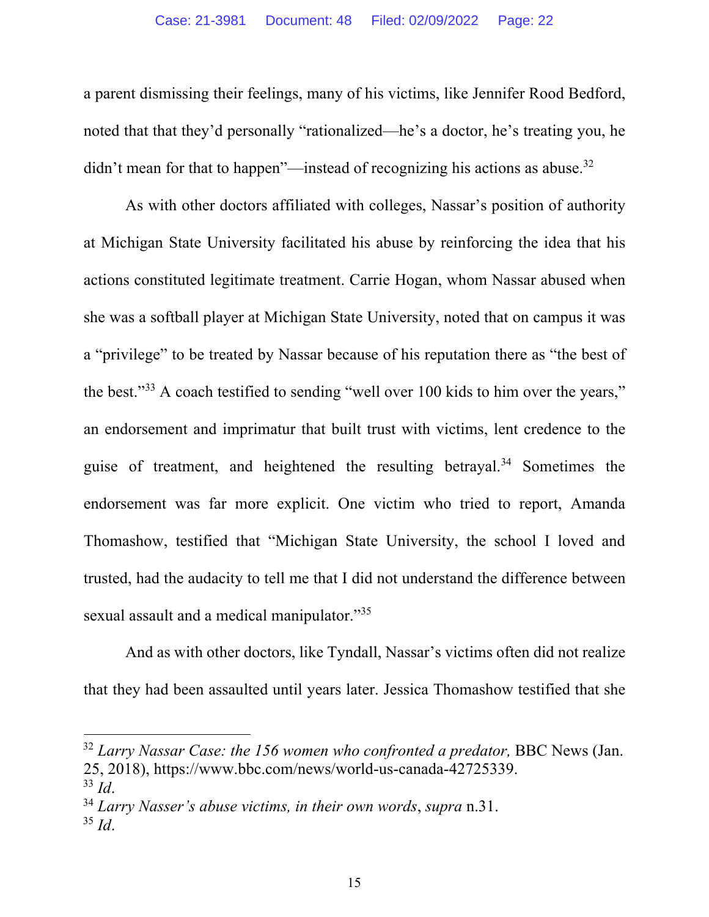a parent dismissing their feelings, many of his victims, like Jennifer Rood Bedford, noted that that they'd personally "rationalized—he's a doctor, he's treating you, he didn't mean for that to happen"—instead of recognizing his actions as abuse.<sup>32</sup>

As with other doctors affiliated with colleges, Nassar's position of authority at Michigan State University facilitated his abuse by reinforcing the idea that his actions constituted legitimate treatment. Carrie Hogan, whom Nassar abused when she was a softball player at Michigan State University, noted that on campus it was a "privilege" to be treated by Nassar because of his reputation there as "the best of the best."33 A coach testified to sending "well over 100 kids to him over the years," an endorsement and imprimatur that built trust with victims, lent credence to the guise of treatment, and heightened the resulting betrayal.34 Sometimes the endorsement was far more explicit. One victim who tried to report, Amanda Thomashow, testified that "Michigan State University, the school I loved and trusted, had the audacity to tell me that I did not understand the difference between sexual assault and a medical manipulator."35

And as with other doctors, like Tyndall, Nassar's victims often did not realize that they had been assaulted until years later. Jessica Thomashow testified that she

<sup>&</sup>lt;sup>32</sup> Larry Nassar Case: the 156 women who confronted a predator, BBC News (Jan. 25, 2018), https://www.bbc.com/news/world-us-canada-42725339.

<sup>33</sup> *Id*.

<sup>34</sup> *Larry Nasser's abuse victims, in their own words*, *supra* n.31.

<sup>35</sup> *Id*.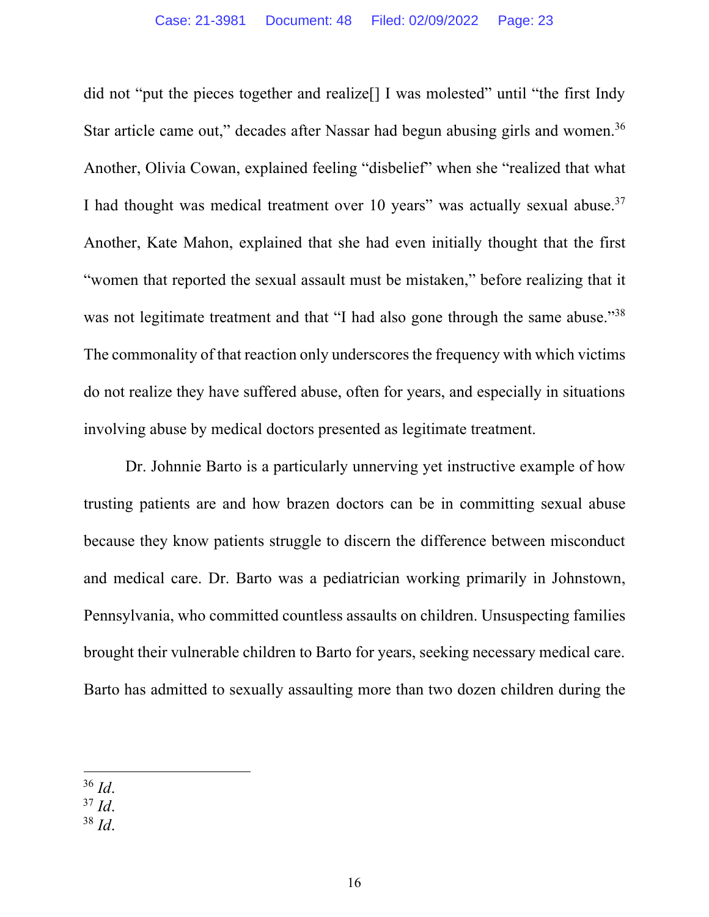did not "put the pieces together and realize<sup>[]</sup> I was molested" until "the first Indy Star article came out," decades after Nassar had begun abusing girls and women.<sup>36</sup> Another, Olivia Cowan, explained feeling "disbelief" when she "realized that what I had thought was medical treatment over 10 years" was actually sexual abuse.<sup>37</sup> Another, Kate Mahon, explained that she had even initially thought that the first "women that reported the sexual assault must be mistaken," before realizing that it was not legitimate treatment and that "I had also gone through the same abuse."38 The commonality of that reaction only underscores the frequency with which victims do not realize they have suffered abuse, often for years, and especially in situations involving abuse by medical doctors presented as legitimate treatment.

Dr. Johnnie Barto is a particularly unnerving yet instructive example of how trusting patients are and how brazen doctors can be in committing sexual abuse because they know patients struggle to discern the difference between misconduct and medical care. Dr. Barto was a pediatrician working primarily in Johnstown, Pennsylvania, who committed countless assaults on children. Unsuspecting families brought their vulnerable children to Barto for years, seeking necessary medical care. Barto has admitted to sexually assaulting more than two dozen children during the

<sup>38</sup> *Id*.

<sup>36</sup> *Id*.

<sup>37</sup> *Id*.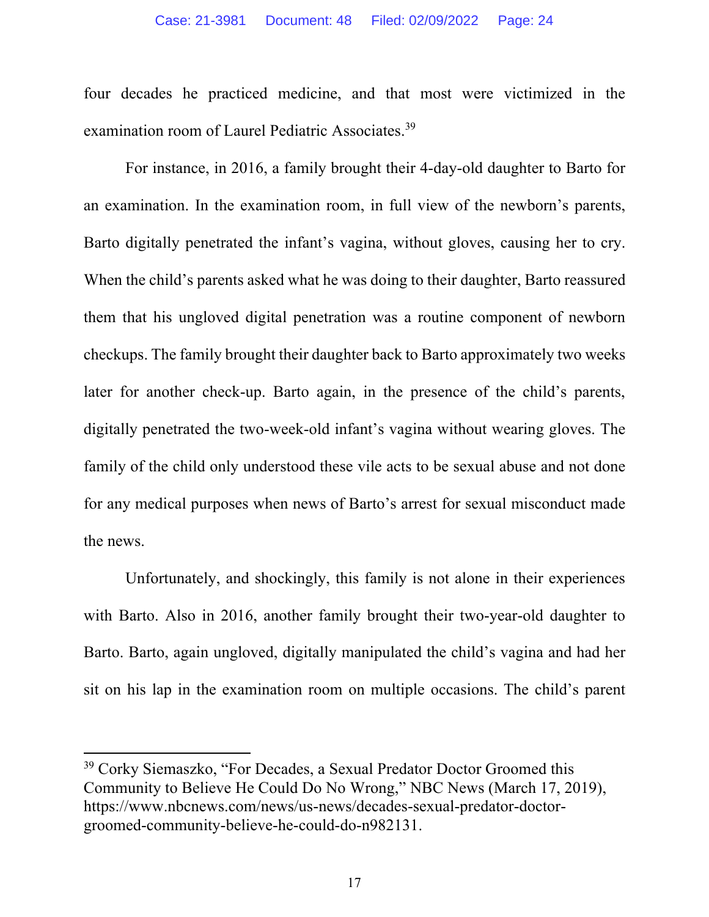four decades he practiced medicine, and that most were victimized in the examination room of Laurel Pediatric Associates.<sup>39</sup>

For instance, in 2016, a family brought their 4-day-old daughter to Barto for an examination. In the examination room, in full view of the newborn's parents, Barto digitally penetrated the infant's vagina, without gloves, causing her to cry. When the child's parents asked what he was doing to their daughter, Barto reassured them that his ungloved digital penetration was a routine component of newborn checkups. The family brought their daughter back to Barto approximately two weeks later for another check-up. Barto again, in the presence of the child's parents, digitally penetrated the two-week-old infant's vagina without wearing gloves. The family of the child only understood these vile acts to be sexual abuse and not done for any medical purposes when news of Barto's arrest for sexual misconduct made the news.

Unfortunately, and shockingly, this family is not alone in their experiences with Barto. Also in 2016, another family brought their two-year-old daughter to Barto. Barto, again ungloved, digitally manipulated the child's vagina and had her sit on his lap in the examination room on multiple occasions. The child's parent

<sup>&</sup>lt;sup>39</sup> Corky Siemaszko, "For Decades, a Sexual Predator Doctor Groomed this Community to Believe He Could Do No Wrong," NBC News (March 17, 2019), https://www.nbcnews.com/news/us-news/decades-sexual-predator-doctorgroomed-community-believe-he-could-do-n982131.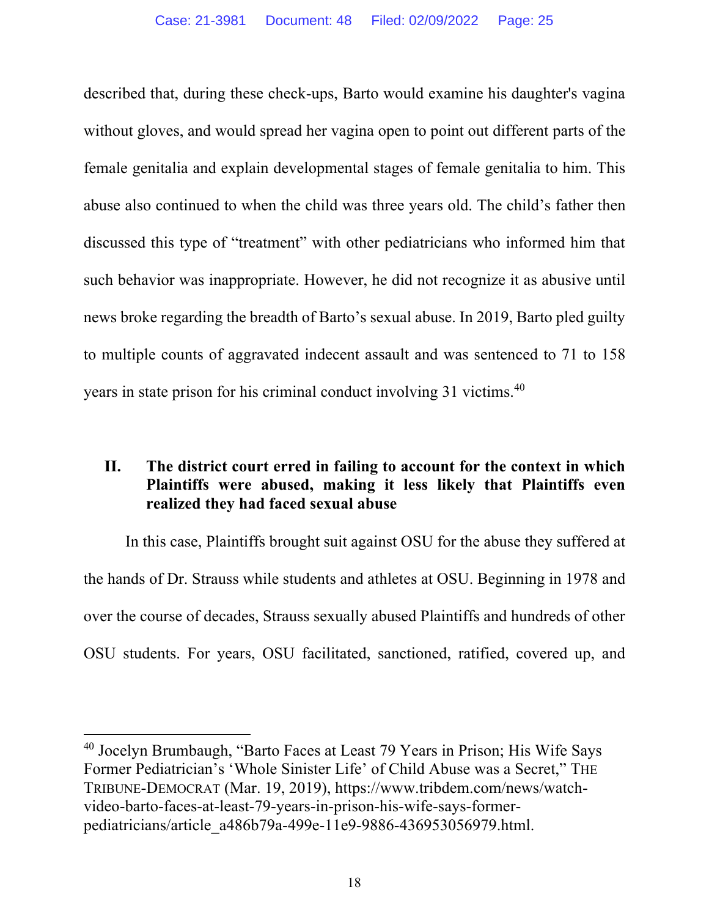described that, during these check-ups, Barto would examine his daughter's vagina without gloves, and would spread her vagina open to point out different parts of the female genitalia and explain developmental stages of female genitalia to him. This abuse also continued to when the child was three years old. The child's father then discussed this type of "treatment" with other pediatricians who informed him that such behavior was inappropriate. However, he did not recognize it as abusive until news broke regarding the breadth of Barto's sexual abuse. In 2019, Barto pled guilty to multiple counts of aggravated indecent assault and was sentenced to 71 to 158 years in state prison for his criminal conduct involving 31 victims.40

## **II. The district court erred in failing to account for the context in which Plaintiffs were abused, making it less likely that Plaintiffs even realized they had faced sexual abuse**

In this case, Plaintiffs brought suit against OSU for the abuse they suffered at the hands of Dr. Strauss while students and athletes at OSU. Beginning in 1978 and over the course of decades, Strauss sexually abused Plaintiffs and hundreds of other OSU students. For years, OSU facilitated, sanctioned, ratified, covered up, and

<sup>40</sup> Jocelyn Brumbaugh, "Barto Faces at Least 79 Years in Prison; His Wife Says Former Pediatrician's 'Whole Sinister Life' of Child Abuse was a Secret," THE TRIBUNE-DEMOCRAT (Mar. 19, 2019), https://www.tribdem.com/news/watchvideo-barto-faces-at-least-79-years-in-prison-his-wife-says-formerpediatricians/article\_a486b79a-499e-11e9-9886-436953056979.html.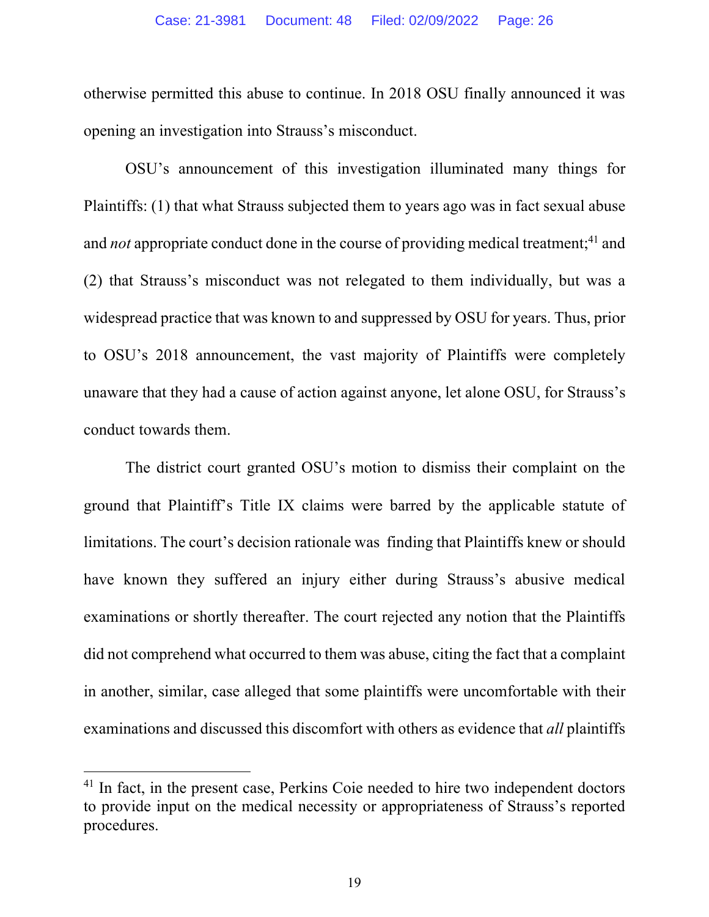otherwise permitted this abuse to continue. In 2018 OSU finally announced it was opening an investigation into Strauss's misconduct.

OSU's announcement of this investigation illuminated many things for Plaintiffs: (1) that what Strauss subjected them to years ago was in fact sexual abuse and *not* appropriate conduct done in the course of providing medical treatment;<sup>41</sup> and (2) that Strauss's misconduct was not relegated to them individually, but was a widespread practice that was known to and suppressed by OSU for years. Thus, prior to OSU's 2018 announcement, the vast majority of Plaintiffs were completely unaware that they had a cause of action against anyone, let alone OSU, for Strauss's conduct towards them.

The district court granted OSU's motion to dismiss their complaint on the ground that Plaintiff's Title IX claims were barred by the applicable statute of limitations. The court's decision rationale was finding that Plaintiffs knew or should have known they suffered an injury either during Strauss's abusive medical examinations or shortly thereafter. The court rejected any notion that the Plaintiffs did not comprehend what occurred to them was abuse, citing the fact that a complaint in another, similar, case alleged that some plaintiffs were uncomfortable with their examinations and discussed this discomfort with others as evidence that *all* plaintiffs

<sup>&</sup>lt;sup>41</sup> In fact, in the present case, Perkins Coie needed to hire two independent doctors to provide input on the medical necessity or appropriateness of Strauss's reported procedures.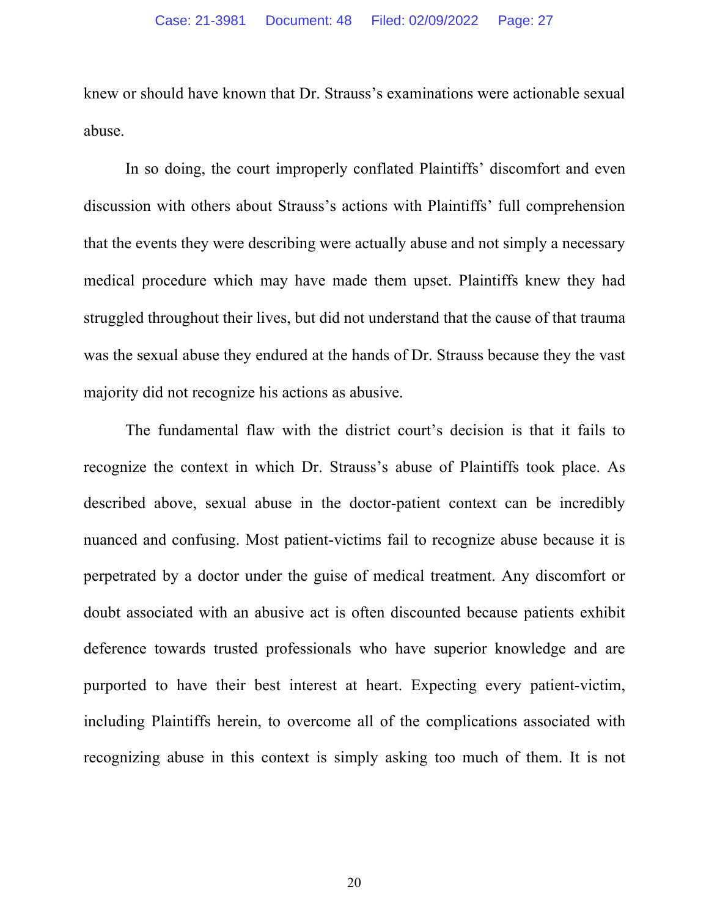knew or should have known that Dr. Strauss's examinations were actionable sexual abuse.

In so doing, the court improperly conflated Plaintiffs' discomfort and even discussion with others about Strauss's actions with Plaintiffs' full comprehension that the events they were describing were actually abuse and not simply a necessary medical procedure which may have made them upset. Plaintiffs knew they had struggled throughout their lives, but did not understand that the cause of that trauma was the sexual abuse they endured at the hands of Dr. Strauss because they the vast majority did not recognize his actions as abusive.

The fundamental flaw with the district court's decision is that it fails to recognize the context in which Dr. Strauss's abuse of Plaintiffs took place. As described above, sexual abuse in the doctor-patient context can be incredibly nuanced and confusing. Most patient-victims fail to recognize abuse because it is perpetrated by a doctor under the guise of medical treatment. Any discomfort or doubt associated with an abusive act is often discounted because patients exhibit deference towards trusted professionals who have superior knowledge and are purported to have their best interest at heart. Expecting every patient-victim, including Plaintiffs herein, to overcome all of the complications associated with recognizing abuse in this context is simply asking too much of them. It is not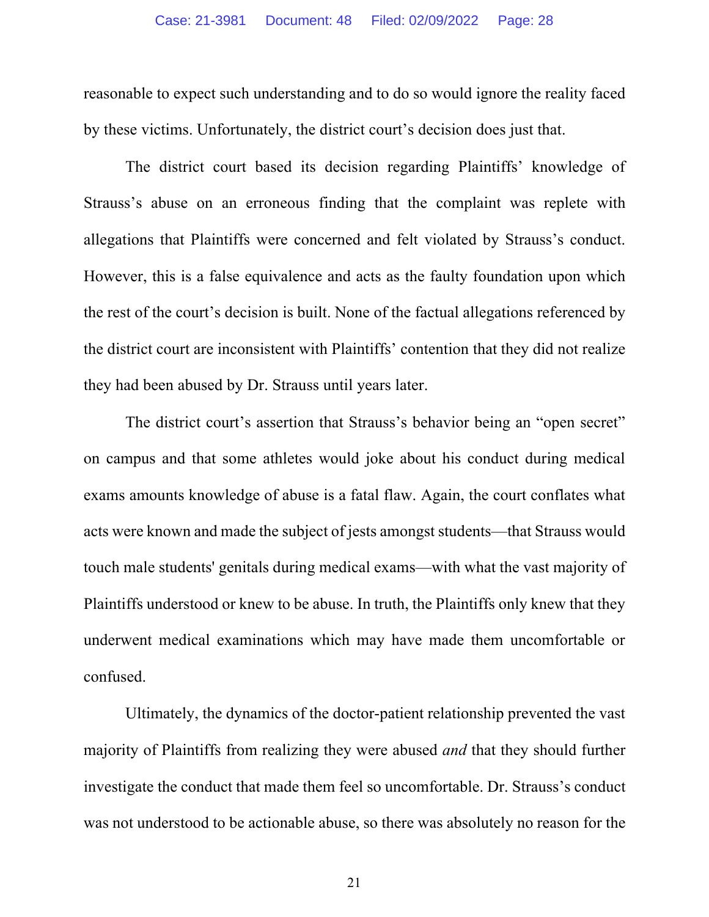reasonable to expect such understanding and to do so would ignore the reality faced by these victims. Unfortunately, the district court's decision does just that.

The district court based its decision regarding Plaintiffs' knowledge of Strauss's abuse on an erroneous finding that the complaint was replete with allegations that Plaintiffs were concerned and felt violated by Strauss's conduct. However, this is a false equivalence and acts as the faulty foundation upon which the rest of the court's decision is built. None of the factual allegations referenced by the district court are inconsistent with Plaintiffs' contention that they did not realize they had been abused by Dr. Strauss until years later.

The district court's assertion that Strauss's behavior being an "open secret" on campus and that some athletes would joke about his conduct during medical exams amounts knowledge of abuse is a fatal flaw. Again, the court conflates what acts were known and made the subject of jests amongst students—that Strauss would touch male students' genitals during medical exams—with what the vast majority of Plaintiffs understood or knew to be abuse. In truth, the Plaintiffs only knew that they underwent medical examinations which may have made them uncomfortable or confused.

Ultimately, the dynamics of the doctor-patient relationship prevented the vast majority of Plaintiffs from realizing they were abused *and* that they should further investigate the conduct that made them feel so uncomfortable. Dr. Strauss's conduct was not understood to be actionable abuse, so there was absolutely no reason for the

21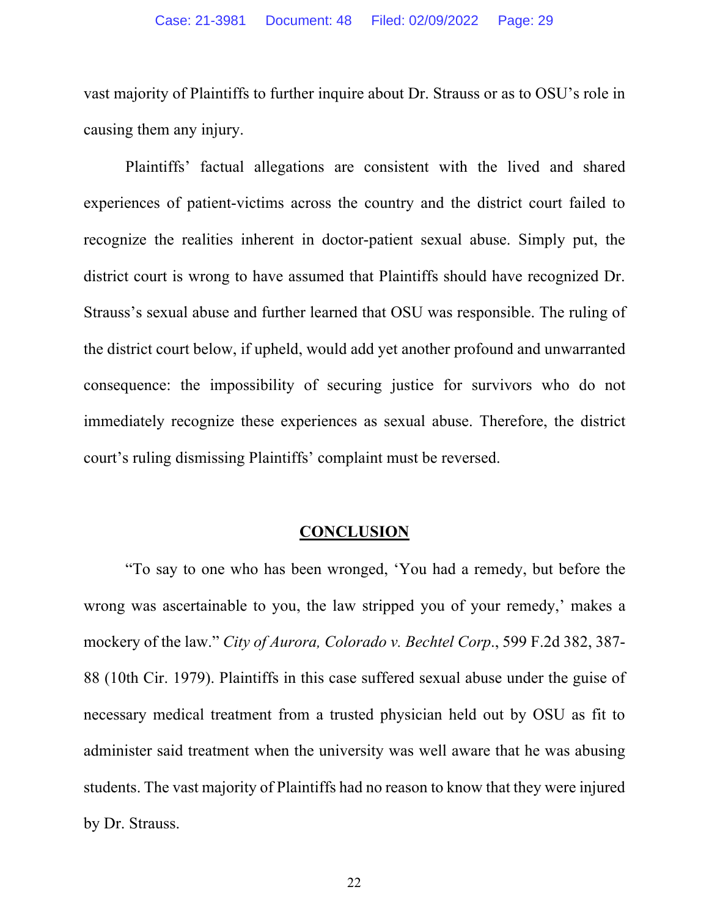vast majority of Plaintiffs to further inquire about Dr. Strauss or as to OSU's role in causing them any injury.

Plaintiffs' factual allegations are consistent with the lived and shared experiences of patient-victims across the country and the district court failed to recognize the realities inherent in doctor-patient sexual abuse. Simply put, the district court is wrong to have assumed that Plaintiffs should have recognized Dr. Strauss's sexual abuse and further learned that OSU was responsible. The ruling of the district court below, if upheld, would add yet another profound and unwarranted consequence: the impossibility of securing justice for survivors who do not immediately recognize these experiences as sexual abuse. Therefore, the district court's ruling dismissing Plaintiffs' complaint must be reversed.

#### **CONCLUSION**

"To say to one who has been wronged, 'You had a remedy, but before the wrong was ascertainable to you, the law stripped you of your remedy,' makes a mockery of the law." *City of Aurora, Colorado v. Bechtel Corp*., 599 F.2d 382, 387- 88 (10th Cir. 1979). Plaintiffs in this case suffered sexual abuse under the guise of necessary medical treatment from a trusted physician held out by OSU as fit to administer said treatment when the university was well aware that he was abusing students. The vast majority of Plaintiffs had no reason to know that they were injured by Dr. Strauss.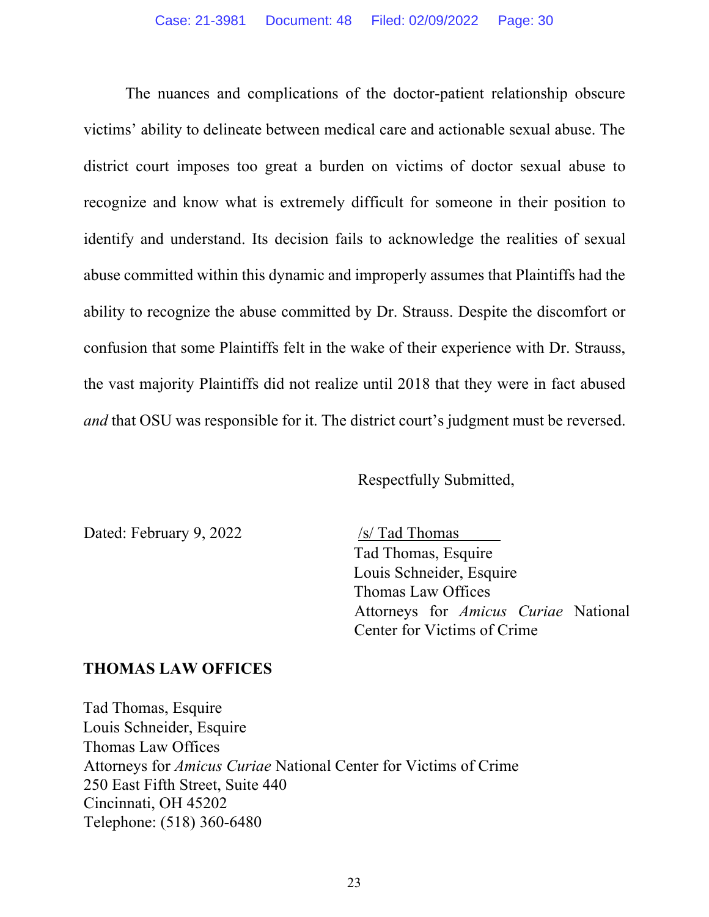The nuances and complications of the doctor-patient relationship obscure victims' ability to delineate between medical care and actionable sexual abuse. The district court imposes too great a burden on victims of doctor sexual abuse to recognize and know what is extremely difficult for someone in their position to identify and understand. Its decision fails to acknowledge the realities of sexual abuse committed within this dynamic and improperly assumes that Plaintiffs had the ability to recognize the abuse committed by Dr. Strauss. Despite the discomfort or confusion that some Plaintiffs felt in the wake of their experience with Dr. Strauss, the vast majority Plaintiffs did not realize until 2018 that they were in fact abused *and* that OSU was responsible for it. The district court's judgment must be reversed.

Respectfully Submitted,

Dated: February 9, 2022 /s/ Tad Thomas

Tad Thomas, Esquire Louis Schneider, Esquire Thomas Law Offices Attorneys for *Amicus Curiae* National Center for Victims of Crime

#### **THOMAS LAW OFFICES**

Tad Thomas, Esquire Louis Schneider, Esquire Thomas Law Offices Attorneys for *Amicus Curiae* National Center for Victims of Crime 250 East Fifth Street, Suite 440 Cincinnati, OH 45202 Telephone: (518) 360-6480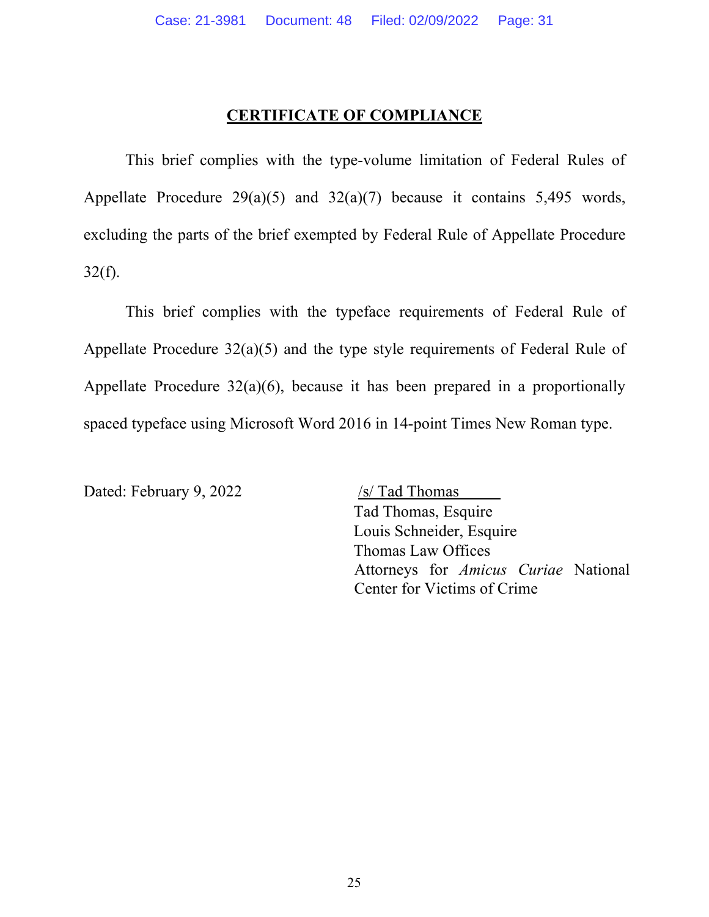#### **CERTIFICATE OF COMPLIANCE**

This brief complies with the type-volume limitation of Federal Rules of Appellate Procedure  $29(a)(5)$  and  $32(a)(7)$  because it contains 5,495 words, excluding the parts of the brief exempted by Federal Rule of Appellate Procedure  $32(f)$ .

This brief complies with the typeface requirements of Federal Rule of Appellate Procedure 32(a)(5) and the type style requirements of Federal Rule of Appellate Procedure 32(a)(6), because it has been prepared in a proportionally spaced typeface using Microsoft Word 2016 in 14-point Times New Roman type.

Dated: February 9, 2022 /s/ Tad Thomas

 $\overline{\phantom{a}}$ Tad Thomas, Esquire Louis Schneider, Esquire Thomas Law Offices Attorneys for *Amicus Curiae* National Center for Victims of Crime